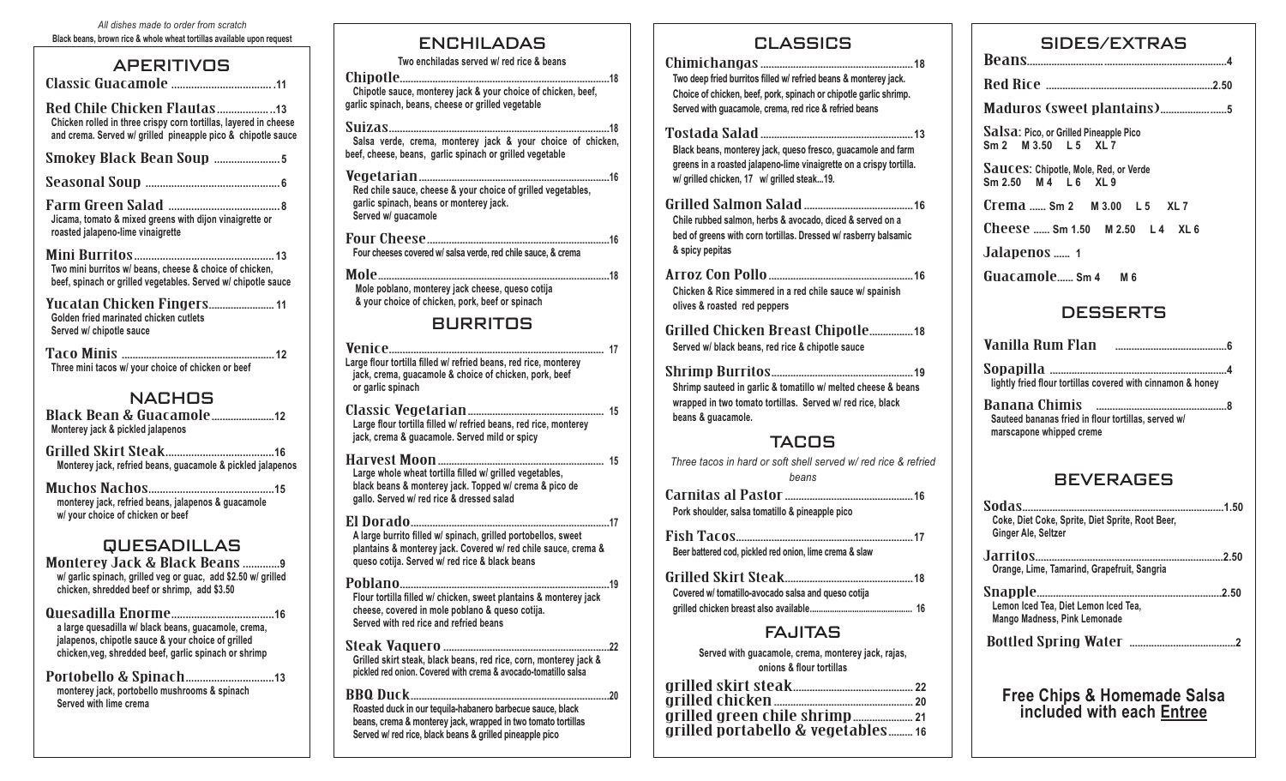| All dishes made to order from scratch                                  |
|------------------------------------------------------------------------|
| Black beans, brown rice & whole wheat tortillas available upon request |

### **APERITIVOS**

Classic Guacamole **................................... .11** Red Chile Chicken Flautas**.................. ..13 Chicken rolled in three crispy corn tortillas, layered in cheese and crema. Served w/ grilled pineapple pico & chipotle sauce** Smokey Black Bean Soup **....................... <sup>5</sup>** Seasonal Soup **............................................... <sup>6</sup>** Farm Green Salad **....................................... <sup>8</sup> Jicama, tomato & mixed greens with dijon vinaigrette or roasted jalapeno-lime vinaigrette** Mini Burritos**................................................. <sup>13</sup> Two mini burritos w/ beans, cheese & choice of chicken, beef, spinach or grilled vegetables. Served w/ chipotle sauce**  Yucatan Chicken Fingers........................**<sup>11</sup> Golden fried marinated chicken cutlets Served w/ chipotle sauce**  Taco Minis ........................................................**<sup>12</sup> Three mini tacos w/ your choice of chicken or beef**  NACHOS Black Bean & Guacamole.......................**<sup>12</sup> Monterey jack & pickled jalapenos**  Grilled Skirt Steak**......................................16 Monterey jack, refried beans, guacamole & pickled jalapenos**  Muchos Nachos**............................................15 monterey jack, refried beans, jalapenos & guacamole w/ your choice of chicken or beef** 

#### QUESADILLAS

Monterey Jack & Black Beans **.............9 w/ garlic spinach, grilled veg or guac, add \$2.50 w/ grilled chicken, shredded beef or shrimp, add \$3.50**

Quesadilla Enorme**....................................16 a large quesadilla w/ black beans, guacamole, crema, jalapenos, chipotle sauce & your choice of grilled chicken,veg, shredded beef, garlic spinach or shrimp**

Portobello & Spinach**...............................13 monterey jack, portobello mushrooms & spinach Served with lime crema**

### ENCHILADAS

**Two enchiladas served w/ red rice & beans**

Chipotle.............................................................................**<sup>18</sup> Chipotle sauce, monterey jack & your choice of chicken, beef, garlic spinach, beans, cheese or grilled vegetable** 

Suizas.................................................................................**<sup>18</sup> Salsa verde, crema, monterey jack & your choice of chicken, beef, cheese, beans, garlic spinach or grilled vegetable** 

Vegetarian......................................................................**<sup>16</sup> Red chile sauce, cheese & your choice of grilled vegetables, garlic spinach, beans or monterey jack. Served w/ guacamole** 

Four Cheese...................................................................**<sup>16</sup> Four cheeses covered w/ salsa verde, red chile sauce, & crema**

Mole.....................................................................................**<sup>18</sup> Mole poblano, monterey jack cheese, queso cotija & your choice of chicken, pork, beef or spinach**

### BURRITOS

Venice............................................................................... **<sup>17</sup> Large flour tortilla filled w/ refried beans, red rice, monterey jack, crema, guacamole & choice of chicken, pork, beef or garlic spinach**

Classic Vegetarian.................................................. **<sup>15</sup> Large flour tortilla filled w/ refried beans, red rice, monterey jack, crema & guacamole. Served mild or spicy** 

Harvest Moon............................................................. **<sup>15</sup> Large whole wheat tortilla filled w/ grilled vegetables, black beans & monterey jack. Topped w/ crema & pico de gallo. Served w/ red rice & dressed salad**

El Dorado.........................................................................**<sup>17</sup> A large burrito filled w/ spinach, grilled portobellos, sweet plantains & monterey jack. Covered w/ red chile sauce, crema & queso cotija. Served w/ red rice & black beans** 

Poblano.............................................................................**<sup>19</sup> Flour tortilla filled w/ chicken, sweet plantains & monterey jack cheese, covered in mole poblano & queso cotija. Served with red rice and refried beans** 

Steak Vaquero.............................................................**<sup>22</sup> Grilled skirt steak, black beans, red rice, corn, monterey jack & pickled red onion. Covered with crema & avocado-tomatillo salsa**

BBQ Duck.........................................................................**<sup>20</sup> Roasted duck in our tequila-habanero barbecue sauce, black beans, crema & monterey jack, wrapped in two tomato tortillas Served w/ red rice, black beans & grilled pineapple pico** 

#### CLASSICS

Chimichangas........................................................**<sup>18</sup> Two deep fried burritos filled w/ refried beans & monterey jack. Choice of chicken, beef, pork, spinach or chipotle garlic shrimp. Served with guacamole, crema, red rice & refried beans**

Tostada Salad........................................................**<sup>13</sup> Black beans, monterey jack, queso fresco, guacamole and farm** 

**greens in a roasted jalapeno-lime vinaigrette on a crispy tortilla. w/ grilled chicken, 17 w/ grilled steak...19.** 

Grilled Salmon Salad........................................**<sup>16</sup> Chile rubbed salmon, herbs & avocado, diced & served on a bed of greens with corn tortillas. Dressed w/ rasberry balsamic & spicy pepitas**

Arroz Con Pollo.....................................................**<sup>16</sup> Chicken & Rice simmered in a red chile sauce w/ spainish olives & roasted red peppers** 

Grilled Chicken Breast Chipotle................**<sup>18</sup> Served w/ black beans, red rice & chipotle sauce** 

Shrimp Burritos....................................................**<sup>19</sup> Shrimp sauteed in garlic & tomatillo w/ melted cheese & beans wrapped in two tomato tortillas. Served w/ red rice, black beans & guacamole.** 

### TACOS

*Three tacos in hard or soft shell served w/ red rice & refried beans*

Carnitas al Pastor...............................................**<sup>16</sup> Pork shoulder, salsa tomatillo & pineapple pico** 

Fish Tacos.................................................................**<sup>17</sup> Beer battered cod, pickled red onion, lime crema & slaw**

| Covered w/ tomatillo-avocado salsa and queso cotija |  |
|-----------------------------------------------------|--|
|                                                     |  |

### FAJITAS

**Served with guacamole, crema, monterey jack, rajas, onions & flour tortillas**

| grilled portabello & vegetables16 |
|-----------------------------------|
|                                   |

| SIDES/EXTRAS                                                                    |
|---------------------------------------------------------------------------------|
|                                                                                 |
|                                                                                 |
|                                                                                 |
| Salsa: Pico, or Grilled Pineapple Pico<br>Sm 2 M 3.50 L 5 XL 7                  |
| Sauces: Chipotle, Mole, Red, or Verde<br>Sm 2.50 M 4 L 6 XL 9                   |
|                                                                                 |
| $\text{Checkes } \text{}.$ Sm 1.50 $\text{M } 2.50$ L4 XL6                      |
| Jalapenos  1                                                                    |
| Guacamole sm 4  M 6                                                             |
| <b>DESSERTS</b>                                                                 |
|                                                                                 |
| lightly fried flour tortillas covered with cinnamon & honey                     |
| Sauteed bananas fried in flour tortillas, served w/<br>marscapone whipped creme |
| <b>BEVERAGES</b>                                                                |
| Coke, Diet Coke, Sprite, Diet Sprite, Root Beer,<br>Ginger Ale, Seltzer         |
| Orange, Lime, Tamarind, Grapefruit, Sangria                                     |
| Lemon Iced Tea, Diet Lemon Iced Tea,<br>Mango Madness, Pink Lemonade            |
|                                                                                 |

**Free Chips & Homemade Salsa included with each Entree**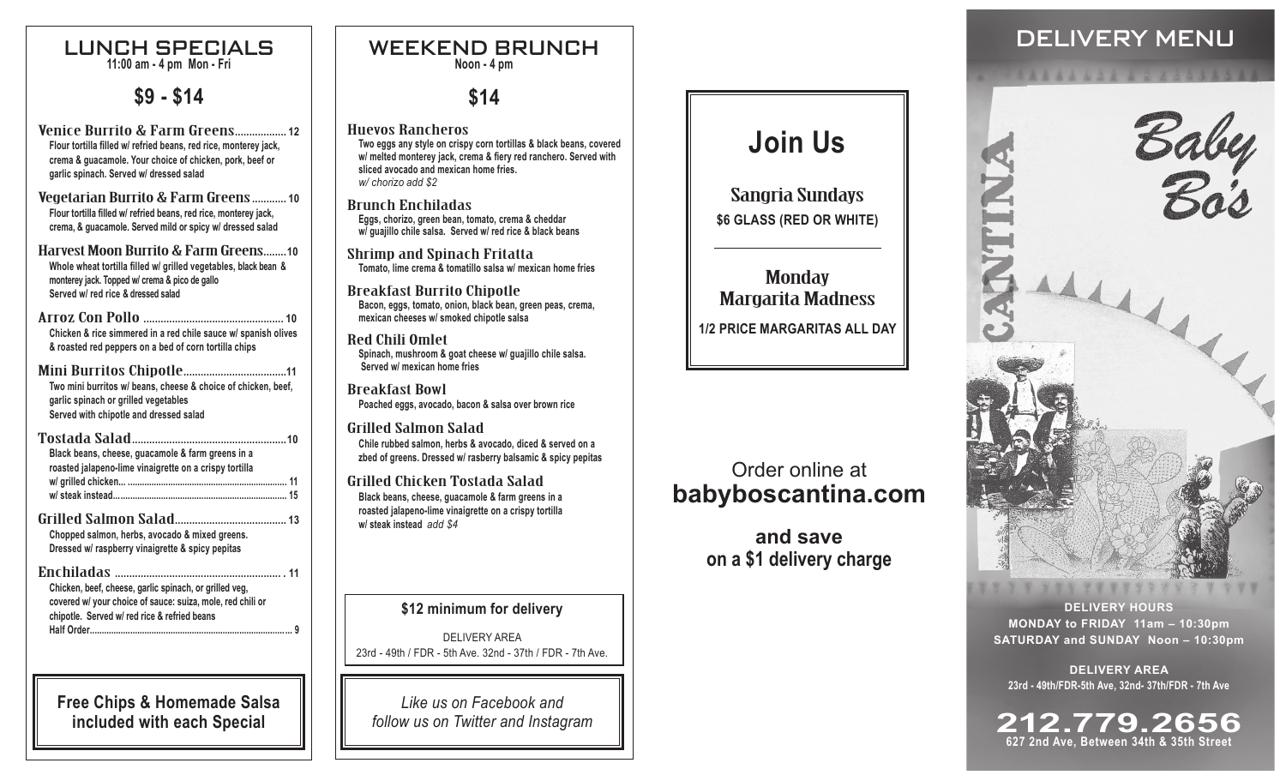#### LUNCH SPECIALS **11:00 am - 4 pm Mon - Fri**

## **\$9 - \$14**

Venice Burrito & Farm Greens**.................. <sup>12</sup> Flour tortilla filled w/ refried beans, red rice, monterey jack, crema & guacamole. Your choice of chicken, pork, beef or garlic spinach. Served w/ dressed salad**

Vegetarian Burrito & Farm Greens**............ <sup>10</sup> Flour tortilla filled w/ refried beans, red rice, monterey jack, crema, & guacamole. Served mild or spicy w/ dressed salad**

- Harvest Moon Burrito & Farm Greens**........10 Whole wheat tortilla filled w/ grilled vegetables, black bean & monterey jack. Topped w/ crema & pico de gallo Served w/ red rice & dressed salad**
- Arroz Con Pollo **................................................. <sup>10</sup> Chicken & rice simmered in a red chile sauce w/ spanish olives & roasted red peppers on a bed of corn tortilla chips**
- Mini Burritos Chipotle**....................................11 Two mini burritos w/ beans, cheese & choice of chicken, beef, garlic spinach or grilled vegetables Served with chipotle and dressed salad**
- Tostada Salad**......................................................10 Black beans, cheese, guacamole & farm greens in a roasted jalapeno-lime vinaigrette on a crispy tortilla w/ grilled chicken... ................................................................... 11 w/ steak instead......................................................................... 15** Grilled Salmon Salad**....................................... <sup>13</sup> Chopped salmon, herbs, avocado & mixed greens. Dressed w/ raspberry vinaigrette & spicy pepitas**  Enchiladas **.......................................................... . 11**
- **Chicken, beef, cheese, garlic spinach, or grilled veg, covered w/ your choice of sauce: suiza, mole, red chili or chipotle. Served w/ red rice & refried beans Half Order..................................................................................... 9**

**Free Chips & Homemade Salsa included with each Special**

# **Noon - 4 pm**

# **\$14**

Huevos Rancheros **Two eggs any style on crispy corn tortillas & black beans, covered w/ melted monterey jack, crema & fiery red ranchero. Served with sliced avocado and mexican home fries.** *w/ chorizo add \$2*

Brunch Enchiladas **Eggs, chorizo, green bean, tomato, crema & cheddar w/ guajillo chile salsa. Served w/ red rice & black beans**

Shrimp and Spinach Fritatta **Tomato, lime crema & tomatillo salsa w/ mexican home fries**

Breakfast Burrito Chipotle **Bacon, eggs, tomato, onion, black bean, green peas, crema, mexican cheeses w/ smoked chipotle salsa**

Red Chili Omlet **Spinach, mushroom & goat cheese w/ guajillo chile salsa. Served w/ mexican home fries**

Breakfast Bowl **Poached eggs, avocado, bacon & salsa over brown rice**

Grilled Salmon Salad **Chile rubbed salmon, herbs & avocado, diced & served on a zbed of greens. Dressed w/ rasberry balsamic & spicy pepitas**

Grilled Chicken Tostada Salad **Black beans, cheese, guacamole & farm greens in a roasted jalapeno-lime vinaigrette on a crispy tortilla w/ steak instead** *add \$4*

**\$12 minimum for delivery**

DELIVERY AREA 23rd - 49th / FDR - 5th Ave. 32nd - 37th / FDR - 7th Ave.

*Like us on Facebook and follow us on Twitter and Instagram*

# **Join Us**

Sangria Sundays **\$6 GLASS (RED OR WHITE)**

### **Monday** Margarita Madness **1/2 PRICE MARGARITAS ALL DAY**

## Order online at **babyboscantina.com**

**and save on a \$1 delivery charge**

# WEEKEND BRUNCH NEWSLEET ALL SECTION OF DELIVERY MENU



**DELIVERY HOURS MONDAY to FRIDAY 11am – 10:30pm SATURDAY and SUNDAY Noon – 10:30pm**

**DELIVERY AREA 23rd - 49th/FDR-5th Ave, 32nd- 37th/FDR - 7th Ave**

**212.779.2656 627 2nd Ave, Between 34th & 35th Street**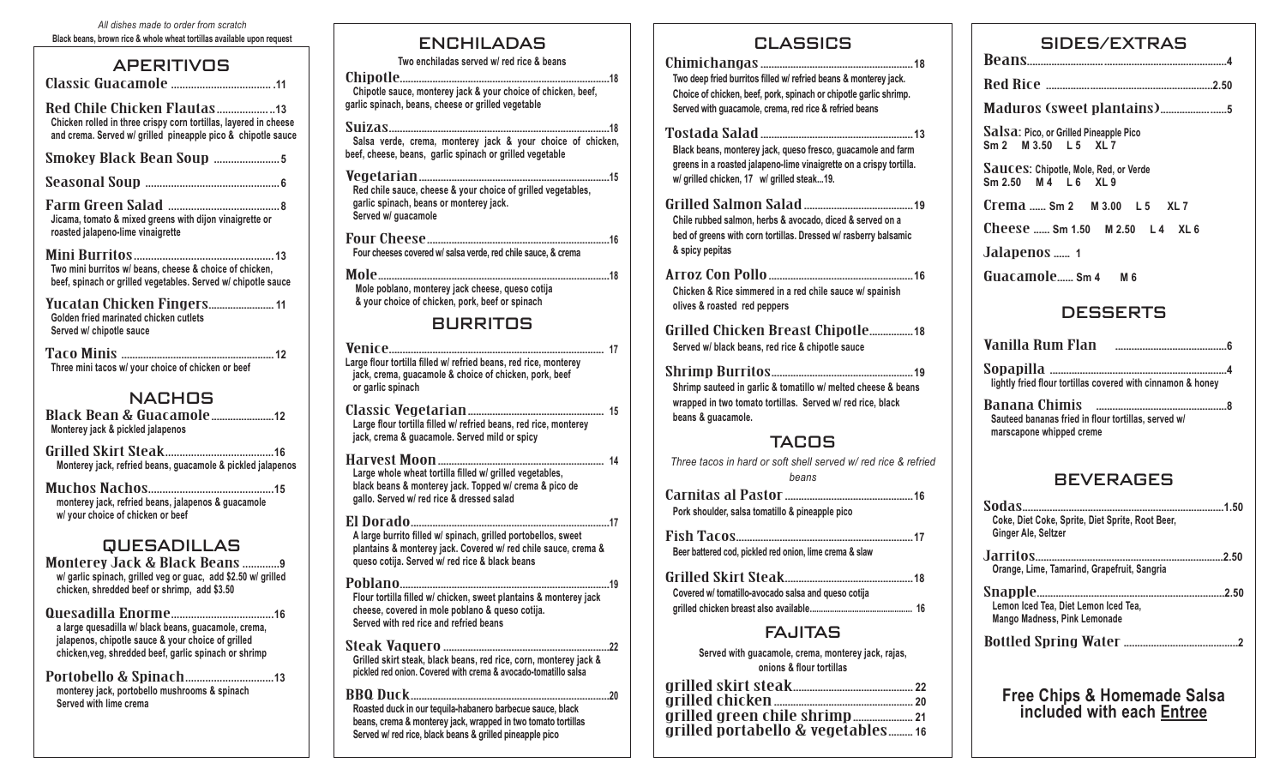#### *All dishes made to order from scratch*  **Black beans, brown rice & whole wheat tortillas available upon request**

### **APERITIVOS**

Classic Guacamole **................................... .11** Red Chile Chicken Flautas**.................. ..13 Chicken rolled in three crispy corn tortillas, layered in cheese and crema. Served w/ grilled pineapple pico & chipotle sauce** Smokey Black Bean Soup **....................... <sup>5</sup>** Seasonal Soup **............................................... <sup>6</sup>** Farm Green Salad **....................................... <sup>8</sup> Jicama, tomato & mixed greens with dijon vinaigrette or roasted jalapeno-lime vinaigrette** Mini Burritos**................................................. <sup>13</sup> Two mini burritos w/ beans, cheese & choice of chicken, beef, spinach or grilled vegetables. Served w/ chipotle sauce**  Yucatan Chicken Fingers........................**<sup>11</sup> Golden fried marinated chicken cutlets Served w/ chipotle sauce**  Taco Minis ........................................................**<sup>12</sup> Three mini tacos w/ your choice of chicken or beef**  NACHOS Black Bean & Guacamole.......................**<sup>12</sup> Monterey jack & pickled jalapenos** 

Grilled Skirt Steak**......................................16 Monterey jack, refried beans, guacamole & pickled jalapenos** 

Muchos Nachos**............................................15 monterey jack, refried beans, jalapenos & guacamole w/ your choice of chicken or beef** 

### QUESADILLAS

Monterey Jack & Black Beans **.............9 w/ garlic spinach, grilled veg or guac, add \$2.50 w/ grilled chicken, shredded beef or shrimp, add \$3.50**

Quesadilla Enorme**....................................16 a large quesadilla w/ black beans, guacamole, crema, jalapenos, chipotle sauce & your choice of grilled chicken,veg, shredded beef, garlic spinach or shrimp**

Portobello & Spinach**...............................13 monterey jack, portobello mushrooms & spinach Served with lime crema**

### ENCHILADAS

**Two enchiladas served w/ red rice & beans**

Chipotle.............................................................................**<sup>18</sup> Chipotle sauce, monterey jack & your choice of chicken, beef, garlic spinach, beans, cheese or grilled vegetable** 

Suizas.................................................................................**<sup>18</sup> Salsa verde, crema, monterey jack & your choice of chicken, beef, cheese, beans, garlic spinach or grilled vegetable** 

Vegetarian......................................................................**<sup>15</sup> Red chile sauce, cheese & your choice of grilled vegetables, garlic spinach, beans or monterey jack. Served w/ guacamole** 

Four Cheese...................................................................**<sup>16</sup> Four cheeses covered w/ salsa verde, red chile sauce, & crema**

Mole.....................................................................................**<sup>18</sup> Mole poblano, monterey jack cheese, queso cotija & your choice of chicken, pork, beef or spinach**

### BURRITOS

Venice............................................................................... **<sup>17</sup> Large flour tortilla filled w/ refried beans, red rice, monterey jack, crema, guacamole & choice of chicken, pork, beef or garlic spinach**

Classic Vegetarian.................................................. **<sup>15</sup> Large flour tortilla filled w/ refried beans, red rice, monterey jack, crema & guacamole. Served mild or spicy** 

Harvest Moon............................................................. **<sup>14</sup> Large whole wheat tortilla filled w/ grilled vegetables, black beans & monterey jack. Topped w/ crema & pico de gallo. Served w/ red rice & dressed salad**

El Dorado.........................................................................**<sup>17</sup> A large burrito filled w/ spinach, grilled portobellos, sweet plantains & monterey jack. Covered w/ red chile sauce, crema & queso cotija. Served w/ red rice & black beans** 

Poblano.............................................................................**<sup>19</sup> Flour tortilla filled w/ chicken, sweet plantains & monterey jack cheese, covered in mole poblano & queso cotija. Served with red rice and refried beans** 

Steak Vaquero.............................................................**<sup>22</sup> Grilled skirt steak, black beans, red rice, corn, monterey jack & pickled red onion. Covered with crema & avocado-tomatillo salsa**

BBQ Duck.........................................................................**<sup>20</sup> Roasted duck in our tequila-habanero barbecue sauce, black beans, crema & monterey jack, wrapped in two tomato tortillas Served w/ red rice, black beans & grilled pineapple pico** 

#### CLASSICS

Chimichangas........................................................**<sup>18</sup> Two deep fried burritos filled w/ refried beans & monterey jack. Choice of chicken, beef, pork, spinach or chipotle garlic shrimp. Served with guacamole, crema, red rice & refried beans**

Tostada Salad........................................................**<sup>13</sup> Black beans, monterey jack, queso fresco, guacamole and farm** 

**greens in a roasted jalapeno-lime vinaigrette on a crispy tortilla. w/ grilled chicken, 17 w/ grilled steak...19.** 

Grilled Salmon Salad........................................**<sup>19</sup> Chile rubbed salmon, herbs & avocado, diced & served on a bed of greens with corn tortillas. Dressed w/ rasberry balsamic & spicy pepitas**

Arroz Con Pollo.....................................................**<sup>16</sup> Chicken & Rice simmered in a red chile sauce w/ spainish olives & roasted red peppers** 

Grilled Chicken Breast Chipotle................**<sup>18</sup> Served w/ black beans, red rice & chipotle sauce** 

Shrimp Burritos....................................................**<sup>19</sup> Shrimp sauteed in garlic & tomatillo w/ melted cheese & beans wrapped in two tomato tortillas. Served w/ red rice, black beans & guacamole.** 

### TACOS

*Three tacos in hard or soft shell served w/ red rice & refried beans*

Carnitas al Pastor...............................................**<sup>16</sup> Pork shoulder, salsa tomatillo & pineapple pico** 

Fish Tacos.................................................................**<sup>17</sup> Beer battered cod, pickled red onion, lime crema & slaw**

| Covered w/ tomatillo-avocado salsa and queso cotija |  |
|-----------------------------------------------------|--|
|                                                     |  |

### FAJITAS

**Served with guacamole, crema, monterey jack, rajas, onions & flour tortillas**

| ONIGHT OF BUILDING                |  |
|-----------------------------------|--|
|                                   |  |
|                                   |  |
|                                   |  |
| grilled portabello & vegetables16 |  |

| SIDES/EXTRAS                                                                    |
|---------------------------------------------------------------------------------|
|                                                                                 |
|                                                                                 |
| Salsa: Pico, or Grilled Pineapple Pico<br>Sm 2 M 3.50 L 5 XL 7                  |
| Sauces: Chipotle, Mole, Red, or Verde<br>Sm 2.50 M 4 L 6 XL 9                   |
|                                                                                 |
| Cheese  Sm 1.50 M 2.50 L 4 XL 6                                                 |
| Jalapenos  1                                                                    |
| Guacamole sm 4  M 6                                                             |
| <b>DESSERTS</b>                                                                 |
|                                                                                 |
| lightly fried flour tortillas covered with cinnamon & honey                     |
| Sauteed bananas fried in flour tortillas, served w/<br>marscapone whipped creme |
| <b>BEVERAGES</b>                                                                |
| Coke, Diet Coke, Sprite, Diet Sprite, Root Beer,<br>Ginger Ale, Seltzer         |
| Orange, Lime, Tamarind, Grapefruit, Sangria                                     |
| Lemon Iced Tea, Diet Lemon Iced Tea,<br><b>Mango Madness, Pink Lemonade</b>     |
|                                                                                 |
| Free Chips & Homemade Salsa<br>included with each Entree                        |